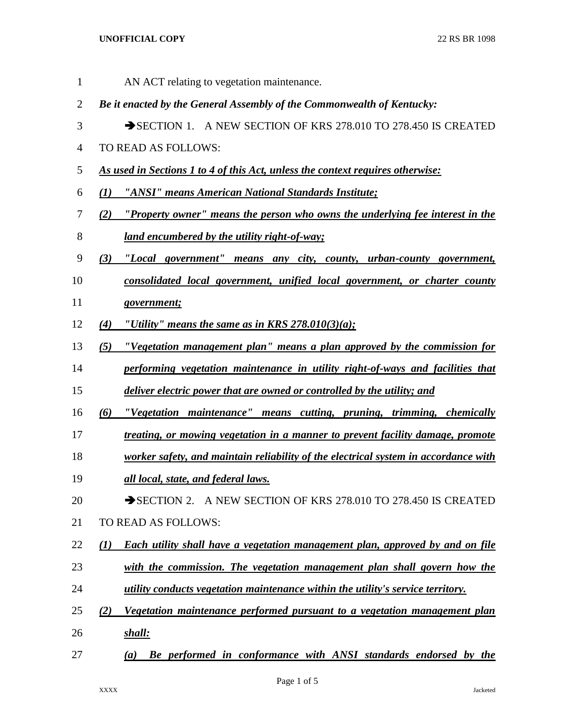## **UNOFFICIAL COPY** 22 RS BR 1098

AN ACT relating to vegetation maintenance.

- *Be it enacted by the General Assembly of the Commonwealth of Kentucky:* 3 SECTION 1. A NEW SECTION OF KRS 278.010 TO 278.450 IS CREATED TO READ AS FOLLOWS: *As used in Sections 1 to 4 of this Act, unless the context requires otherwise: (1) "ANSI" means American National Standards Institute; (2) "Property owner" means the person who owns the underlying fee interest in the land encumbered by the utility right-of-way; (3) "Local government" means any city, county, urban-county government, consolidated local government, unified local government, or charter county government; (4) "Utility" means the same as in KRS 278.010(3)(a); (5) "Vegetation management plan" means a plan approved by the commission for performing vegetation maintenance in utility right-of-ways and facilities that deliver electric power that are owned or controlled by the utility; and (6) "Vegetation maintenance" means cutting, pruning, trimming, chemically treating, or mowing vegetation in a manner to prevent facility damage, promote worker safety, and maintain reliability of the electrical system in accordance with all local, state, and federal laws.*  20 SECTION 2. A NEW SECTION OF KRS 278.010 TO 278.450 IS CREATED TO READ AS FOLLOWS: *(1) Each utility shall have a vegetation management plan, approved by and on file with the commission. The vegetation management plan shall govern how the utility conducts vegetation maintenance within the utility's service territory.*
- *(2) Vegetation maintenance performed pursuant to a vegetation management plan shall:*
- *(a) Be performed in conformance with ANSI standards endorsed by the*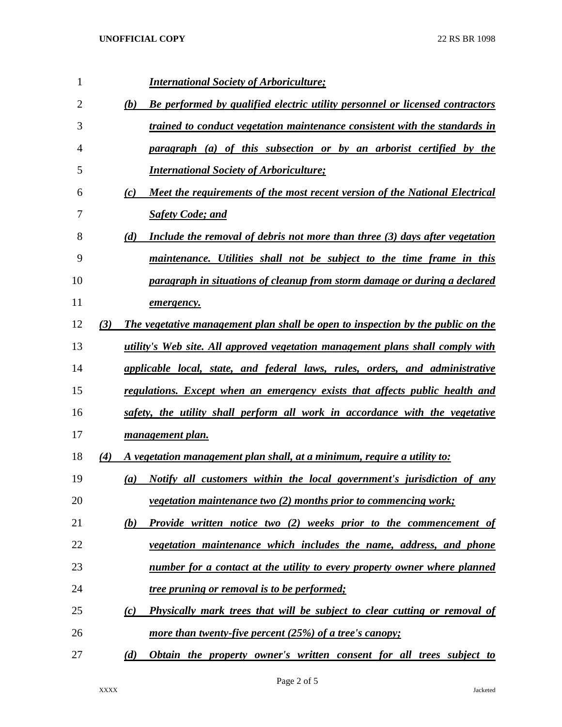| 1  |     | <b>International Society of Arboriculture;</b>                                      |
|----|-----|-------------------------------------------------------------------------------------|
| 2  |     | Be performed by qualified electric utility personnel or licensed contractors<br>(b) |
| 3  |     | trained to conduct vegetation maintenance consistent with the standards in          |
| 4  |     | paragraph (a) of this subsection or by an arborist certified by the                 |
| 5  |     | <b>International Society of Arboriculture;</b>                                      |
| 6  |     | Meet the requirements of the most recent version of the National Electrical<br>(c)  |
| 7  |     | <b>Safety Code; and</b>                                                             |
| 8  |     | Include the removal of debris not more than three (3) days after vegetation<br>(d)  |
| 9  |     | maintenance. Utilities shall not be subject to the time frame in this               |
| 10 |     | paragraph in situations of cleanup from storm damage or during a declared           |
| 11 |     | emergency.                                                                          |
| 12 | (3) | The vegetative management plan shall be open to inspection by the public on the     |
| 13 |     | utility's Web site. All approved vegetation management plans shall comply with      |
| 14 |     | applicable local, state, and federal laws, rules, orders, and administrative        |
| 15 |     | regulations. Except when an emergency exists that affects public health and         |
| 16 |     | safety, the utility shall perform all work in accordance with the vegetative        |
| 17 |     | management plan.                                                                    |
| 18 | (4) | A vegetation management plan shall, at a minimum, require a utility to:             |
| 19 |     | Notify all customers within the local government's jurisdiction of any<br>(a)       |
| 20 |     | <i>vegetation maintenance two (2) months prior to commencing work;</i>              |
| 21 |     | Provide written notice two (2) weeks prior to the commencement of<br>(b)            |
| 22 |     | vegetation maintenance which includes the name, address, and phone                  |
| 23 |     | number for a contact at the utility to every property owner where planned           |
| 24 |     | <i>tree pruning or removal is to be performed;</i>                                  |
| 25 |     | Physically mark trees that will be subject to clear cutting or removal of<br>(c)    |
| 26 |     | more than twenty-five percent $(25%)$ of a tree's canopy;                           |
| 27 |     | Obtain the property owner's written consent for all trees subject to<br>(d)         |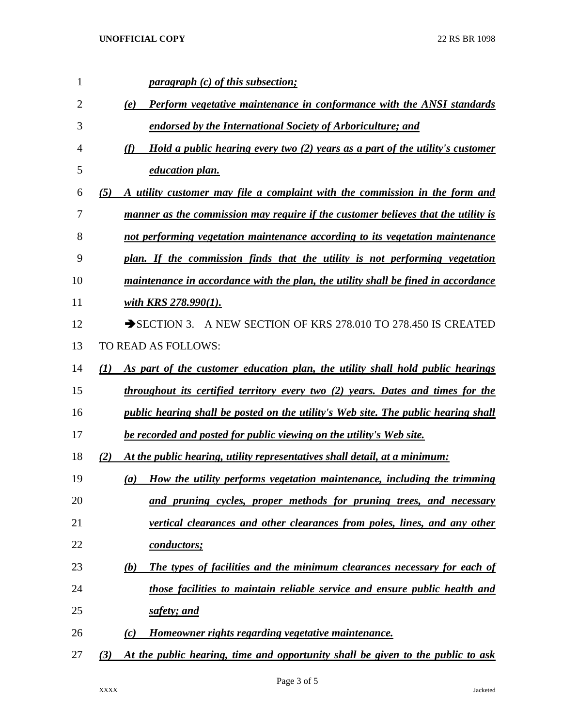| $\mathbf{1}$   | <i>paragraph (c) of this subsection;</i>                                               |
|----------------|----------------------------------------------------------------------------------------|
| $\overline{2}$ | Perform vegetative maintenance in conformance with the ANSI standards<br>(e)           |
| 3              | endorsed by the International Society of Arboriculture; and                            |
| 4              | (f)<br>Hold a public hearing every two (2) years as a part of the utility's customer   |
| 5              | education plan.                                                                        |
| 6              | (5)<br>A utility customer may file a complaint with the commission in the form and     |
| 7              | manner as the commission may require if the customer believes that the utility is      |
| 8              | not performing vegetation maintenance according to its vegetation maintenance          |
| 9              | plan. If the commission finds that the utility is not performing vegetation            |
| 10             | maintenance in accordance with the plan, the utility shall be fined in accordance      |
| 11             | with KRS $278.990(1)$ .                                                                |
| 12             | SECTION 3. A NEW SECTION OF KRS 278.010 TO 278.450 IS CREATED                          |
| 13             | TO READ AS FOLLOWS:                                                                    |
| 14             | (1)<br>As part of the customer education plan, the utility shall hold public hearings  |
| 15             | throughout its certified territory every two (2) years. Dates and times for the        |
| 16             | public hearing shall be posted on the utility's Web site. The public hearing shall     |
| 17             | be recorded and posted for public viewing on the utility's Web site.                   |
| 18             | (2)<br>At the public hearing, utility representatives shall detail, at a minimum:      |
| 19             | How the utility performs vegetation maintenance, including the trimming<br>(a)         |
| 20             | and pruning cycles, proper methods for pruning trees, and necessary                    |
| 21             | vertical clearances and other clearances from poles, lines, and any other              |
| 22             | <u>conductors;</u>                                                                     |
| 23             | The types of facilities and the minimum clearances necessary for each of<br>(b)        |
| 24             | those facilities to maintain reliable service and ensure public health and             |
| 25             | safety; and                                                                            |
| 26             | Homeowner rights regarding vegetative maintenance.<br>(c)                              |
| 27             | At the public hearing, time and opportunity shall be given to the public to ask<br>(3) |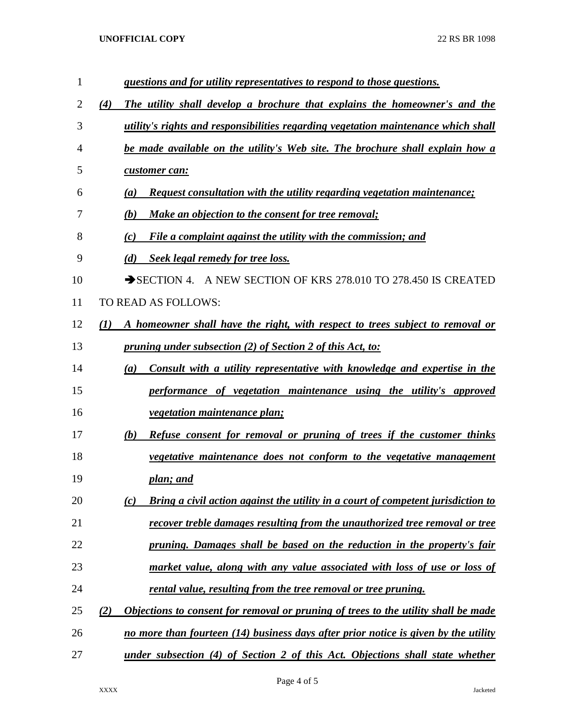## **UNOFFICIAL COPY** 22 RS BR 1098

| $\mathbf{1}$   | questions and for utility representatives to respond to those questions.                  |
|----------------|-------------------------------------------------------------------------------------------|
| $\overline{2}$ | The utility shall develop a brochure that explains the homeowner's and the<br>(4)         |
| 3              | utility's rights and responsibilities regarding vegetation maintenance which shall        |
| 4              | be made available on the utility's Web site. The brochure shall explain how a             |
| 5              | customer can:                                                                             |
| 6              | Request consultation with the utility regarding vegetation maintenance;<br>(a)            |
| 7              | (b)<br><b>Make an objection to the consent for tree removal;</b>                          |
| 8              | File a complaint against the utility with the commission; and<br>(c)                      |
| 9              | (d)<br>Seek legal remedy for tree loss.                                                   |
| 10             | SECTION 4. A NEW SECTION OF KRS 278.010 TO 278.450 IS CREATED                             |
| 11             | TO READ AS FOLLOWS:                                                                       |
| 12             | (1)<br>A homeowner shall have the right, with respect to trees subject to removal or      |
| 13             | <u>pruning under subsection (2) of Section 2 of this Act, to:</u>                         |
| 14             | Consult with a utility representative with knowledge and expertise in the<br>(a)          |
| 15             | performance of vegetation maintenance using the utility's approved                        |
| 16             | <i>vegetation maintenance plan;</i>                                                       |
| 17             | Refuse consent for removal or pruning of trees if the customer thinks<br>(b)              |
| 18             | vegetative maintenance does not conform to the vegetative management                      |
| 19             | plan; and                                                                                 |
| 20             | Bring a civil action against the utility in a court of competent jurisdiction to<br>(c)   |
| 21             | recover treble damages resulting from the unauthorized tree removal or tree               |
| 22             | pruning. Damages shall be based on the reduction in the property's fair                   |
| 23             | market value, along with any value associated with loss of use or loss of                 |
| 24             | rental value, resulting from the tree removal or tree pruning.                            |
| 25             | Objections to consent for removal or pruning of trees to the utility shall be made<br>(2) |
| 26             | no more than fourteen (14) business days after prior notice is given by the utility       |
| 27             | under subsection (4) of Section 2 of this Act. Objections shall state whether             |